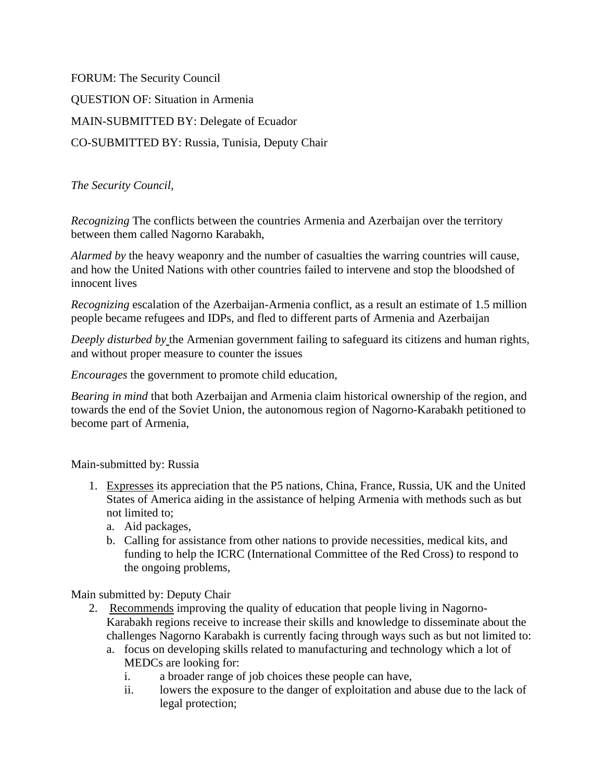FORUM: The Security Council QUESTION OF: Situation in Armenia MAIN-SUBMITTED BY: Delegate of Ecuador CO-SUBMITTED BY: Russia, Tunisia, Deputy Chair

*The Security Council,*

*Recognizing* The conflicts between the countries Armenia and Azerbaijan over the territory between them called Nagorno Karabakh,

*Alarmed by* the heavy weaponry and the number of casualties the warring countries will cause, and how the United Nations with other countries failed to intervene and stop the bloodshed of innocent lives

*Recognizing* escalation of the Azerbaijan-Armenia conflict, as a result an estimate of 1.5 million people became refugees and IDPs, and fled to different parts of Armenia and Azerbaijan

*Deeply disturbed by* the Armenian government failing to safeguard its citizens and human rights, and without proper measure to counter the issues

*Encourages* the government to promote child education,

*Bearing in mind* that both Azerbaijan and Armenia claim historical ownership of the region, and towards the end of the Soviet Union, the autonomous region of Nagorno-Karabakh petitioned to become part of Armenia,

Main-submitted by: Russia

- 1. Expresses its appreciation that the P5 nations, China, France, Russia, UK and the United States of America aiding in the assistance of helping Armenia with methods such as but not limited to;
	- a. Aid packages,
	- b. Calling for assistance from other nations to provide necessities, medical kits, and funding to help the ICRC (International Committee of the Red Cross) to respond to the ongoing problems,

Main submitted by: Deputy Chair

- 2. Recommends improving the quality of education that people living in Nagorno-Karabakh regions receive to increase their skills and knowledge to disseminate about the challenges Nagorno Karabakh is currently facing through ways such as but not limited to:
	- a. focus on developing skills related to manufacturing and technology which a lot of MEDCs are looking for:
		- i. a broader range of job choices these people can have,
		- ii. lowers the exposure to the danger of exploitation and abuse due to the lack of legal protection;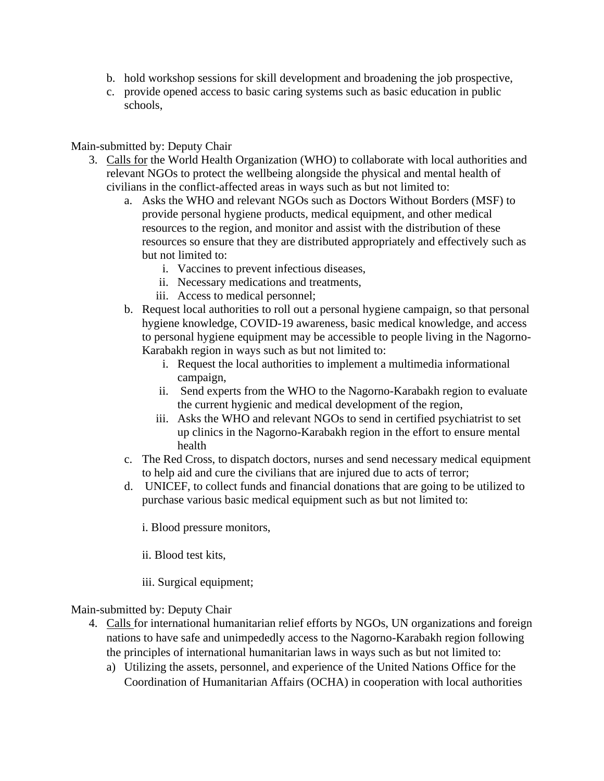- b. hold workshop sessions for skill development and broadening the job prospective,
- c. provide opened access to basic caring systems such as basic education in public schools,

## Main-submitted by: Deputy Chair

- 3. Calls for the World Health Organization (WHO) to collaborate with local authorities and relevant NGOs to protect the wellbeing alongside the physical and mental health of civilians in the conflict-affected areas in ways such as but not limited to:
	- a. Asks the WHO and relevant NGOs such as Doctors Without Borders (MSF) to provide personal hygiene products, medical equipment, and other medical resources to the region, and monitor and assist with the distribution of these resources so ensure that they are distributed appropriately and effectively such as but not limited to:
		- i. Vaccines to prevent infectious diseases,
		- ii. Necessary medications and treatments,
		- iii. Access to medical personnel;
	- b. Request local authorities to roll out a personal hygiene campaign, so that personal hygiene knowledge, COVID-19 awareness, basic medical knowledge, and access to personal hygiene equipment may be accessible to people living in the Nagorno-Karabakh region in ways such as but not limited to:
		- i. Request the local authorities to implement a multimedia informational campaign,
		- ii. Send experts from the WHO to the Nagorno-Karabakh region to evaluate the current hygienic and medical development of the region,
		- iii. Asks the WHO and relevant NGOs to send in certified psychiatrist to set up clinics in the Nagorno-Karabakh region in the effort to ensure mental health
	- c. The Red Cross, to dispatch doctors, nurses and send necessary medical equipment to help aid and cure the civilians that are injured due to acts of terror;
	- d. UNICEF, to collect funds and financial donations that are going to be utilized to purchase various basic medical equipment such as but not limited to:
		- i. Blood pressure monitors,
		- ii. Blood test kits,
		- iii. Surgical equipment;

## Main-submitted by: Deputy Chair

- 4. Calls for international humanitarian relief efforts by NGOs, UN organizations and foreign nations to have safe and unimpededly access to the Nagorno-Karabakh region following the principles of international humanitarian laws in ways such as but not limited to:
	- a) Utilizing the assets, personnel, and experience of the United Nations Office for the Coordination of Humanitarian Affairs (OCHA) in cooperation with local authorities